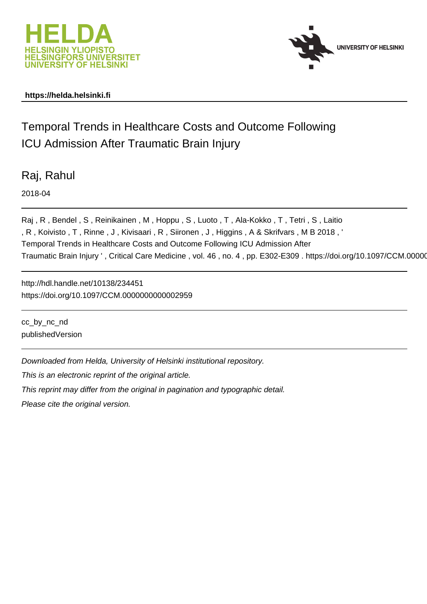



# **https://helda.helsinki.fi**

# Temporal Trends in Healthcare Costs and Outcome Following ICU Admission After Traumatic Brain Injury

Raj, Rahul

2018-04

Raj , R , Bendel , S , Reinikainen , M , Hoppu , S , Luoto , T , Ala-Kokko , T , Tetri , S , Laitio , R , Koivisto , T , Rinne , J , Kivisaari , R , Siironen , J , Higgins , A & Skrifvars , M B 2018 , ' Temporal Trends in Healthcare Costs and Outcome Following ICU Admission After Traumatic Brain Injury ', Critical Care Medicine, vol. 46, no. 4, pp. E302-E309. https://doi.org/10.1097/CCM.00000

http://hdl.handle.net/10138/234451 https://doi.org/10.1097/CCM.0000000000002959

cc\_by\_nc\_nd publishedVersion

Downloaded from Helda, University of Helsinki institutional repository.

This is an electronic reprint of the original article.

This reprint may differ from the original in pagination and typographic detail.

Please cite the original version.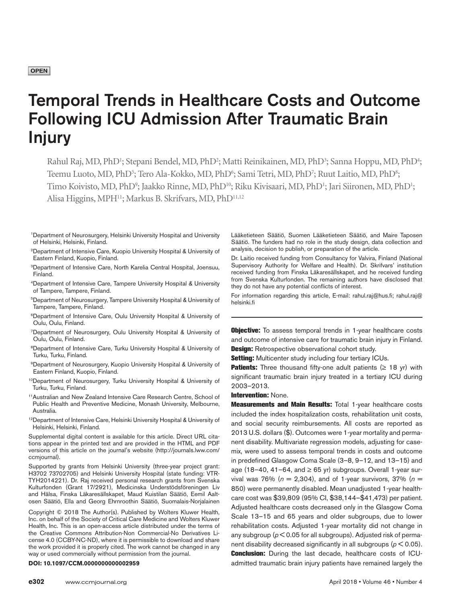## **OPEN**

# Temporal Trends in Healthcare Costs and Outcome Following ICU Admission After Traumatic Brain Injury

Rahul Raj, MD, PhD<sup>1</sup>; Stepani Bendel, MD, PhD<sup>2</sup>; Matti Reinikainen, MD, PhD<sup>3</sup>; Sanna Hoppu, MD, PhD<sup>4</sup>; Teemu Luoto, MD, PhD<sup>5</sup>; Tero Ala-Kokko, MD, PhD<sup>6</sup>; Sami Tetri, MD, PhD<sup>7</sup>; Ruut Laitio, MD, PhD<sup>8</sup>; Timo Koivisto, MD, PhD<sup>9</sup>; Jaakko Rinne, MD, PhD<sup>10</sup>; Riku Kivisaari, MD, PhD<sup>1</sup>; Jari Siironen, MD, PhD<sup>1</sup>; Alisa Higgins, MPH<sup>11</sup>; Markus B. Skrifvars, MD, PhD<sup>11,12</sup>

- 1Department of Neurosurgery, Helsinki University Hospital and University of Helsinki, Helsinki, Finland.
- 2Department of Intensive Care, Kuopio University Hospital & University of Eastern Finland, Kuopio, Finland.
- 3Department of Intensive Care, North Karelia Central Hospital, Joensuu, Finland.
- 4Department of Intensive Care, Tampere University Hospital & University of Tampere, Tampere, Finland.
- 5Department of Neurosurgery, Tampere University Hospital & University of Tampere, Tampere, Finland.
- 6Department of Intensive Care, Oulu University Hospital & University of Oulu, Oulu, Finland.
- 7Department of Neurosurgery, Oulu University Hospital & University of Oulu, Oulu, Finland.
- 8Department of Intensive Care, Turku University Hospital & University of Turku, Turku, Finland.
- 9Department of Neurosurgery, Kuopio University Hospital & University of Eastern Finland, Kuopio, Finland.
- 10Department of Neurosurgery, Turku University Hospital & University of Turku, Turku, Finland.
- 11Australian and New Zealand Intensive Care Research Centre, School of Public Health and Preventive Medicine, Monash University, Melbourne, Australia.
- <sup>12</sup>Department of Intensive Care, Helsinki University Hospital & University of Helsinki, Helsinki, Finland.

Supplemental digital content is available for this article. Direct URL citations appear in the printed text and are provided in the HTML and PDF versions of this article on the journal's website ([http://journals.lww.com/](http://journals.lww.com/ccmjournal) [ccmjournal](http://journals.lww.com/ccmjournal)).

Supported by grants from Helsinki University (three-year project grant: H3702 73702705) and Helsinki University Hospital (state funding: VTR-TYH2014221). Dr. Raj received personal research grants from Svenska Kulturfonden (Grant 17/2921), Medicinska Understödsföreningen Liv and Hälsa, Finska Läkaresällskapet, Maud Kuistilan Säätiö, Eemil Aaltosen Säätiö, Ella and Georg Ehrnroothin Säätiö, Suomalais-Norjalainen

Copyright © 2018 The Author(s). Published by Wolters Kluwer Health, Inc. on behalf of the Society of Critical Care Medicine and Wolters Kluwer Health, Inc. This is an open-access article distributed under the terms of the [Creative Commons Attribution-Non Commercial-No Derivatives Li](http://creativecommons.org/licenses/by-nc-nd/4.0/)[cense 4.0 \(CCBY-NC-ND\)](http://creativecommons.org/licenses/by-nc-nd/4.0/), where it is permissible to download and share the work provided it is properly cited. The work cannot be changed in any way or used commercially without permission from the journal.

Lääketieteen Säätiö, Suomen Lääketieteen Säätiö, and Maire Taposen Säätiö. The funders had no role in the study design, data collection and analysis, decision to publish, or preparation of the article.

Dr. Laitio received funding from Consultancy for Valvira, Finland (National Supervisory Authority for Welfare and Health). Dr. Skrifvars' institution received funding from Finska Läkaresällskapet, and he received funding from Svenska Kulturfonden. The remaining authors have disclosed that they do not have any potential conflicts of interest.

For information regarding this article, E-mail: [rahul.raj@hus.fi;](mailto:rahul.raj@hus.fi) [rahul.raj@](mailto:rahul.raj@helsinki.fi) [helsinki.fi](mailto:rahul.raj@helsinki.fi)

**Objective:** To assess temporal trends in 1-year healthcare costs and outcome of intensive care for traumatic brain injury in Finland. **Design:** Retrospective observational cohort study.

**Setting:** Multicenter study including four tertiary ICUs.

**Patients:** Three thousand fifty-one adult patients  $( \geq 18 \text{ yr})$  with significant traumatic brain injury treated in a tertiary ICU during 2003–2013.

#### Intervention: None.

**Measurements and Main Results: Total 1-year healthcare costs** included the index hospitalization costs, rehabilitation unit costs, and social security reimbursements. All costs are reported as 2013 U.S. dollars (\$). Outcomes were 1-year mortality and permanent disability. Multivariate regression models, adjusting for casemix, were used to assess temporal trends in costs and outcome in predefined Glasgow Coma Scale (3–8, 9–12, and 13–15) and age (18–40, 41–64, and  $\geq$  65 yr) subgroups. Overall 1-year survival was 76% ( $n = 2,304$ ), and of 1-year survivors, 37% ( $n =$ 850) were permanently disabled. Mean unadjusted 1-year healthcare cost was \$39,809 (95% CI, \$38,144–\$41,473) per patient. Adjusted healthcare costs decreased only in the Glasgow Coma Scale 13–15 and 65 years and older subgroups, due to lower rehabilitation costs. Adjusted 1-year mortality did not change in any subgroup ( $p < 0.05$  for all subgroups). Adjusted risk of permanent disability decreased significantly in all subgroups ( $p < 0.05$ ). **Conclusion:** During the last decade, healthcare costs of ICU-**DOI: 10.1097/CCM.0000000000002959 admitted traumatic brain injury patients have remained largely the**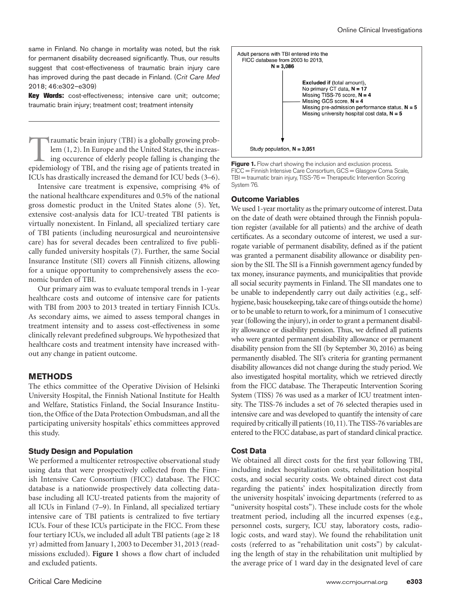same in Finland. No change in mortality was noted, but the risk for permanent disability decreased significantly. Thus, our results suggest that cost-effectiveness of traumatic brain injury care has improved during the past decade in Finland. (*Crit Care Med* 2018; 46:e302–e309)

Key Words: cost-effectiveness; intensive care unit; outcome; traumatic brain injury; treatment cost; treatment intensity

Traumatic brain injury (TBI) is a globally growing problem (1, 2). In Europe and the United States, the increasing occurence of elderly people falling is changing the epidemiology of TBI, and the rising age of patients treated in ICUs has drastically increased the demand for ICU beds (3–6).

Intensive care treatment is expensive, comprising 4% of the national healthcare expenditures and 0.5% of the national gross domestic product in the United States alone (5). Yet, extensive cost-analysis data for ICU-treated TBI patients is virtually nonexistent. In Finland, all specialized tertiary care of TBI patients (including neurosurgical and neurointensive care) has for several decades been centralized to five publically funded university hospitals (7). Further, the same Social Insurance Institute (SII) covers all Finnish citizens, allowing for a unique opportunity to comprehensively assess the economic burden of TBI.

Our primary aim was to evaluate temporal trends in 1-year healthcare costs and outcome of intensive care for patients with TBI from 2003 to 2013 treated in tertiary Finnish ICUs. As secondary aims, we aimed to assess temporal changes in treatment intensity and to assess cost-effectiveness in some clinically relevant predefined subgroups. We hypothesized that healthcare costs and treatment intensity have increased without any change in patient outcome.

# **METHODS**

The ethics committee of the Operative Division of Helsinki University Hospital, the Finnish National Institute for Health and Welfare, Statistics Finland, the Social Insurance Institution, the Office of the Data Protection Ombudsman, and all the participating university hospitals' ethics committees approved this study.

#### **Study Design and Population**

We performed a multicenter retrospective observational study using data that were prospectively collected from the Finnish Intensive Care Consortium (FICC) database. The FICC database is a nationwide prospectively data collecting database including all ICU-treated patients from the majority of all ICUs in Finland (7–9). In Finland, all specialized tertiary intensive care of TBI patients is centralized to five tertiary ICUs. Four of these ICUs participate in the FICC. From these four tertiary ICUs, we included all adult TBI patients (age  $\geq 18$ ) yr) admitted from January 1, 2003 to December 31, 2013 (readmissions excluded). **Figure 1** shows a flow chart of included and excluded patients.



Adult persons with TBI entered into the

Figure 1. Flow chart showing the inclusion and exclusion process. FICC = Finnish Intensive Care Consortium, GCS = Glasgow Coma Scale, TBI = traumatic brain injury, TISS-76 = Therapeutic Intervention Scoring System 76.

# **Outcome Variables**

We used 1-year mortality as the primary outcome of interest. Data on the date of death were obtained through the Finnish population register (available for all patients) and the archive of death certificates. As a secondary outcome of interest, we used a surrogate variable of permanent disability, defined as if the patient was granted a permanent disability allowance or disability pension by the SII. The SII is a Finnish government agency funded by tax money, insurance payments, and municipalities that provide all social security payments in Finland. The SII mandates one to be unable to independently carry out daily activities (e.g., selfhygiene, basic housekeeping, take care of things outside the home) or to be unable to return to work, for a minimum of 1 consecutive year (following the injury), in order to grant a permanent disability allowance or disability pension. Thus, we defined all patients who were granted permanent disability allowance or permanent disability pension from the SII (by September 30, 2016) as being permanently disabled. The SII's criteria for granting permanent disability allowances did not change during the study period. We also investigated hospital mortality, which we retrieved directly from the FICC database. The Therapeutic Intervention Scoring System (TISS) 76 was used as a marker of ICU treatment intensity. The TISS-76 includes a set of 76 selected therapies used in intensive care and was developed to quantify the intensity of care required by critically ill patients (10, 11). The TISS-76 variables are entered to the FICC database, as part of standard clinical practice.

#### **Cost Data**

We obtained all direct costs for the first year following TBI, including index hospitalization costs, rehabilitation hospital costs, and social security costs. We obtained direct cost data regarding the patients' index hospitalization directly from the university hospitals' invoicing departments (referred to as "university hospital costs"). These include costs for the whole treatment period, including all the incurred expenses (e.g., personnel costs, surgery, ICU stay, laboratory costs, radiologic costs, and ward stay). We found the rehabilitation unit costs (referred to as "rehabilitation unit costs") by calculating the length of stay in the rehabilitation unit multiplied by the average price of 1 ward day in the designated level of care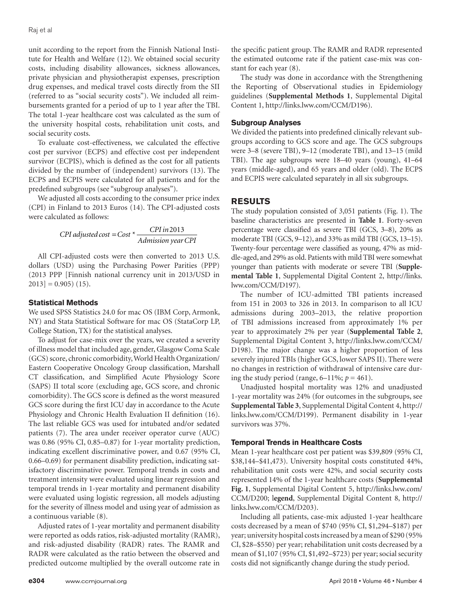unit according to the report from the Finnish National Institute for Health and Welfare (12). We obtained social security costs, including disability allowances, sickness allowances, private physician and physiotherapist expenses, prescription drug expenses, and medical travel costs directly from the SII (referred to as "social security costs"). We included all reimbursements granted for a period of up to 1 year after the TBI. The total 1-year healthcare cost was calculated as the sum of the university hospital costs, rehabilitation unit costs, and social security costs.

To evaluate cost-effectiveness, we calculated the effective cost per survivor (ECPS) and effective cost per independent survivor (ECPIS), which is defined as the cost for all patients divided by the number of (independent) survivors (13). The ECPS and ECPIS were calculated for all patients and for the predefined subgroups (see "subgroup analyses").

We adjusted all costs according to the consumer price index (CPI) in Finland to 2013 Euros (14). The CPI-adjusted costs were calculated as follows:

 $CPI$  *adjusted cost* =  $Cost * \frac{CPI \, in \, 2013}{Admission \, year \, CPI}$ 

All CPI-adjusted costs were then converted to 2013 U.S. dollars (USD) using the Purchasing Power Parities (PPP) (2013 PPP [Finnish national currency unit in 2013/USD in  $2013$ ] = 0.905) (15).

# **Statistical Methods**

We used SPSS Statistics 24.0 for mac OS (IBM Corp, Armonk, NY) and Stata Statistical Software for mac OS (StataCorp LP, College Station, TX) for the statistical analyses.

To adjust for case-mix over the years, we created a severity of illness model that included age, gender, Glasgow Coma Scale (GCS) score, chronic comorbidity, World Health Organization/ Eastern Cooperative Oncology Group classification, Marshall CT classification, and Simplified Acute Physiology Score (SAPS) II total score (excluding age, GCS score, and chronic comorbidity). The GCS score is defined as the worst measured GCS score during the first ICU day in accordance to the Acute Physiology and Chronic Health Evaluation II definition (16). The last reliable GCS was used for intubated and/or sedated patients (7). The area under receiver operator curve (AUC) was 0.86 (95% CI, 0.85–0.87) for 1-year mortality prediction, indicating excellent discriminative power, and 0.67 (95% CI, 0.66–0.69) for permanent disability prediction, indicating satisfactory discriminative power. Temporal trends in costs and treatment intensity were evaluated using linear regression and temporal trends in 1-year mortality and permanent disability were evaluated using logistic regression, all models adjusting for the severity of illness model and using year of admission as a continuous variable (8).

Adjusted rates of 1-year mortality and permanent disability were reported as odds ratios, risk-adjusted mortality (RAMR), and risk-adjusted disability (RADR) rates. The RAMR and RADR were calculated as the ratio between the observed and predicted outcome multiplied by the overall outcome rate in

the specific patient group. The RAMR and RADR represented the estimated outcome rate if the patient case-mix was constant for each year (8).

The study was done in accordance with the Strengthening the Reporting of Observational studies in Epidemiology guidelines (**Supplemental Methods 1**, Supplemental Digital Content 1, [http://links.lww.com/CCM/D196\)](http://links.lww.com/CCM/D196).

# **Subgroup Analyses**

We divided the patients into predefined clinically relevant subgroups according to GCS score and age. The GCS subgroups were 3–8 (severe TBI), 9–12 (moderate TBI), and 13–15 (mild TBI). The age subgroups were 18–40 years (young), 41–64 years (middle-aged), and 65 years and older (old). The ECPS and ECPIS were calculated separately in all six subgroups.

# **RESULTS**

The study population consisted of 3,051 patients (Fig. 1). The baseline characteristics are presented in **Table 1**. Forty-seven percentage were classified as severe TBI (GCS, 3–8), 20% as moderate TBI (GCS, 9–12), and 33% as mild TBI (GCS, 13–15). Twenty-four percentage were classified as young, 47% as middle-aged, and 29% as old. Patients with mild TBI were somewhat younger than patients with moderate or severe TBI (**Supplemental Table 1**, Supplemental Digital Content 2, [http://links.](http://links.lww.com/CCM/D197) [lww.com/CCM/D197\)](http://links.lww.com/CCM/D197).

The number of ICU-admitted TBI patients increased from 151 in 2003 to 326 in 2013. In comparison to all ICU admissions during 2003–2013, the relative proportion of TBI admissions increased from approximately 1% per year to approximately 2% per year (**Supplemental Table 2**, Supplemental Digital Content 3, [http://links.lww.com/CCM/](http://links.lww.com/CCM/D198) [D198\)](http://links.lww.com/CCM/D198). The major change was a higher proportion of less severely injured TBIs (higher GCS, lower SAPS II). There were no changes in restriction of withdrawal of intensive care during the study period (range,  $6-11\%$ ;  $p = 461$ ).

Unadjusted hospital mortality was 12% and unadjusted 1-year mortality was 24% (for outcomes in the subgroups, see **Supplemental Table 3**, Supplemental Digital Content 4, [http://](http://links.lww.com/CCM/D199) [links.lww.com/CCM/D199](http://links.lww.com/CCM/D199)). Permanent disability in 1-year survivors was 37%.

# **Temporal Trends in Healthcare Costs**

Mean 1-year healthcare cost per patient was \$39,809 (95% CI, \$38,144–\$41,473). University hospital costs constituted 44%, rehabilitation unit costs were 42%, and social security costs represented 14% of the 1-year healthcare costs (**Supplemental Fig. 1**, Supplemental Digital Content 5, [http://links.lww.com/](http://links.lww.com/CCM/D200) [CCM/D200](http://links.lww.com/CCM/D200); l**egend**, Supplemental Digital Content 8, [http://](http://links.lww.com/CCM/D203) [links.lww.com/CCM/D203](http://links.lww.com/CCM/D203)).

Including all patients, case-mix adjusted 1-year healthcare costs decreased by a mean of \$740 (95% CI, \$1,294–\$187) per year; university hospital costs increased by a mean of \$290 (95% CI, \$28–\$550) per year; rehabilitation unit costs decreased by a mean of \$1,107 (95% CI, \$1,492–\$723) per year; social security costs did not significantly change during the study period.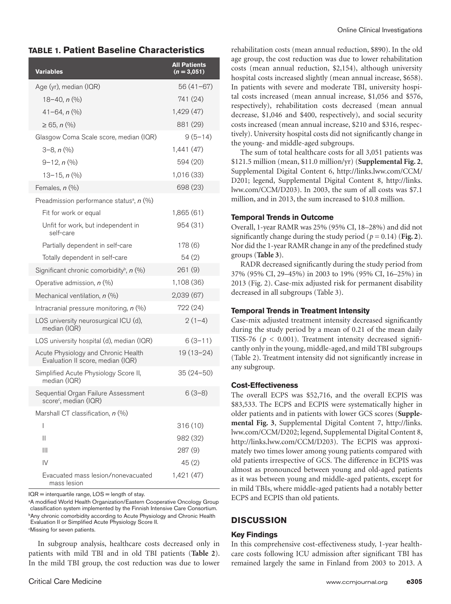# **TABLE 1. Patient Baseline Characteristics**

| Variables                                                                | <b>All Patients</b><br>$(n=3,051)$ |
|--------------------------------------------------------------------------|------------------------------------|
| Age (yr), median (IQR)                                                   | $56(41-67)$                        |
| $18 - 40$ , $n$ (%)                                                      | 741 (24)                           |
| $41 - 64$ , $n$ (%)                                                      | 1,429 (47)                         |
| $\geq 65$ , n $\left(\frac{0}{0}\right)$                                 | 881 (29)                           |
| Glasgow Coma Scale score, median (IQR)                                   | $9(5 - 14)$                        |
| $3-8, n$ (%)                                                             | 1,441 (47)                         |
| $9-12, n$ (%)                                                            | 594 (20)                           |
| $13 - 15$ , $n$ (%)                                                      | 1,016 (33)                         |
| Females, n (%)                                                           | 698 (23)                           |
| Preadmission performance status <sup>a</sup> , $n$ (%)                   |                                    |
| Fit for work or equal                                                    | 1,865 (61)                         |
| Unfit for work, but independent in<br>self-care                          | 954 (31)                           |
| Partially dependent in self-care                                         | 178 (6)                            |
| Totally dependent in self-care                                           | 54 (2)                             |
| Significant chronic comorbidity <sup>b</sup> , $n$ (%)                   | 261 (9)                            |
| Operative admission, n (%)                                               | 1,108 (36)                         |
| Mechanical ventilation, $n$ (%)                                          | 2,039 (67)                         |
| Intracranial pressure monitoring, $n$ (%)                                | 722 (24)                           |
| LOS university neurosurgical ICU (d),<br>median (IQR)                    | $2(1-4)$                           |
| LOS university hospital (d), median (IQR)                                | $6(3-11)$                          |
| Acute Physiology and Chronic Health<br>Evaluation II score, median (IQR) | $19(13-24)$                        |
| Simplified Acute Physiology Score II,<br>median (IQR)                    | $35(24 - 50)$                      |
| Sequential Organ Failure Assessment<br>score <sup>c</sup> , median (IQR) | $6(3-8)$                           |
| Marshall CT classification, n (%)                                        |                                    |
| I                                                                        | 316(10)                            |
| Ш                                                                        | 982 (32)                           |
| $\mathbf{III}$                                                           | 287 (9)                            |
| $\mathsf{IV}$                                                            | 45(2)                              |
| Evacuated mass lesion/nonevacuated<br>mass lesion                        | 1,421 (47)                         |

 $IQR =$  interquartile range,  $LOS =$  length of stay.

<sup>a</sup>A modified World Health Organization/Eastern Cooperative Oncology Group classification system implemented by the Finnish Intensive Care Consortium. <sup>b</sup>Any chronic comorbidity according to Acute Physiology and Chronic Health Evaluation II or Simplified Acute Physiology Score II. c Missing for seven patients.

In subgroup analysis, healthcare costs decreased only in patients with mild TBI and in old TBI patients (**Table 2**). In the mild TBI group, the cost reduction was due to lower

rehabilitation costs (mean annual reduction, \$890). In the old age group, the cost reduction was due to lower rehabilitation costs (mean annual reduction, \$2,154), although university hospital costs increased slightly (mean annual increase, \$658). In patients with severe and moderate TBI, university hospital costs increased (mean annual increase, \$1,056 and \$576, respectively), rehabilitation costs decreased (mean annual decrease, \$1,046 and \$400, respectively), and social security costs increased (mean annual increase, \$210 and \$316, respectively). University hospital costs did not significantly change in the young- and middle-aged subgroups.

The sum of total healthcare costs for all 3,051 patients was \$121.5 million (mean, \$11.0 million/yr) (**Supplemental Fig. 2**, Supplemental Digital Content 6, [http://links.lww.com/CCM/](http://links.lww.com/CCM/D201) [D201;](http://links.lww.com/CCM/D201) legend, Supplemental Digital Content 8, [http://links.](http://links.lww.com/CCM/D203) [lww.com/CCM/D203\)](http://links.lww.com/CCM/D203). In 2003, the sum of all costs was \$7.1 million, and in 2013, the sum increased to \$10.8 million.

# **Temporal Trends in Outcome**

Overall, 1-year RAMR was 25% (95% CI, 18–28%) and did not significantly change during the study period ( $p = 0.14$ ) (Fig. 2). Nor did the 1-year RAMR change in any of the predefined study groups (**Table 3**).

RADR decreased significantly during the study period from 37% (95% CI, 29–45%) in 2003 to 19% (95% CI, 16–25%) in 2013 (Fig. 2). Case-mix adjusted risk for permanent disability decreased in all subgroups (Table 3).

# **Temporal Trends in Treatment Intensity**

Case-mix adjusted treatment intensity decreased significantly during the study period by a mean of 0.21 of the mean daily TISS-76 ( $p < 0.001$ ). Treatment intensity decreased significantly only in the young, middle-aged, and mild TBI subgroups (Table 2). Treatment intensity did not significantly increase in any subgroup.

#### **Cost-Effectiveness**

The overall ECPS was \$52,716, and the overall ECPIS was \$83,533. The ECPS and ECPIS were systematically higher in older patients and in patients with lower GCS scores (**Supplemental Fig. 3**, Supplemental Digital Content 7, [http://links.](http://links.lww.com/CCM/D202) [lww.com/CCM/D202;](http://links.lww.com/CCM/D202) legend, Supplemental Digital Content 8, [http://links.lww.com/CCM/D203\)](http://links.lww.com/CCM/D203). The ECPIS was approximately two times lower among young patients compared with old patients irrespective of GCS. The difference in ECPIS was almost as pronounced between young and old-aged patients as it was between young and middle-aged patients, except for in mild TBIs, where middle-aged patients had a notably better ECPS and ECPIS than old patients.

# **DISCUSSION**

#### **Key Findings**

In this comprehensive cost-effectiveness study, 1-year healthcare costs following ICU admission after significant TBI has remained largely the same in Finland from 2003 to 2013. A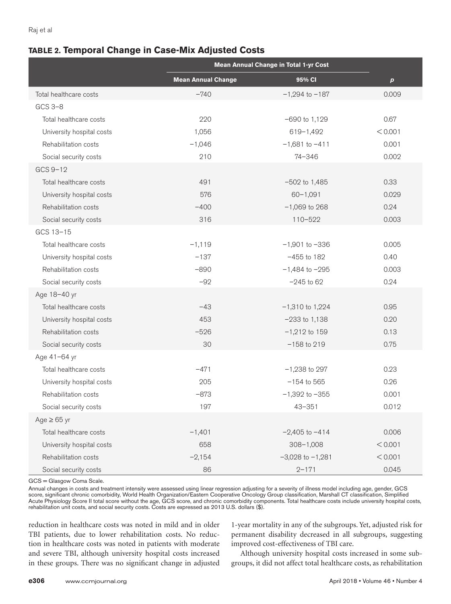# **TABLE 2. Temporal Change in Case-Mix Adjusted Costs**

|                           | <b>Mean Annual Change in Total 1-yr Cost</b> |                      |                  |
|---------------------------|----------------------------------------------|----------------------|------------------|
|                           | <b>Mean Annual Change</b>                    | 95% CI               | $\boldsymbol{p}$ |
| Total healthcare costs    | $-740$                                       | $-1,294$ to $-187$   | 0.009            |
| $GCS$ 3-8                 |                                              |                      |                  |
| Total healthcare costs    | 220                                          | $-690$ to 1,129      | 0.67             |
| University hospital costs | 1,056                                        | 619-1,492            | < 0.001          |
| Rehabilitation costs      | $-1,046$                                     | $-1,681$ to $-411$   | 0.001            |
| Social security costs     | 210                                          | 74-346               | 0.002            |
| GCS 9-12                  |                                              |                      |                  |
| Total healthcare costs    | 491                                          | $-502$ to 1,485      | 0.33             |
| University hospital costs | 576                                          | $60 - 1,091$         | 0.029            |
| Rehabilitation costs      | $-400$                                       | $-1,069$ to 268      | 0.24             |
| Social security costs     | 316                                          | $110 - 522$          | 0.003            |
| GCS 13-15                 |                                              |                      |                  |
| Total healthcare costs    | $-1,119$                                     | $-1,901$ to $-336$   | 0.005            |
| University hospital costs | $-137$                                       | $-455$ to 182        | 0.40             |
| Rehabilitation costs      | $-890$                                       | $-1,484$ to $-295$   | 0.003            |
| Social security costs     | $-92$                                        | $-245$ to 62         | 0.24             |
| Age 18-40 yr              |                                              |                      |                  |
| Total healthcare costs    | $-43$                                        | $-1,310$ to 1,224    | 0.95             |
| University hospital costs | 453                                          | $-233$ to $1,138$    | 0.20             |
| Rehabilitation costs      | $-526$                                       | $-1,212$ to 159      | 0.13             |
| Social security costs     | 30                                           | $-158$ to 219        | 0.75             |
| Age 41-64 yr              |                                              |                      |                  |
| Total healthcare costs    | $-471$                                       | $-1,238$ to 297      | 0.23             |
| University hospital costs | 205                                          | $-154$ to 565        | 0.26             |
| Rehabilitation costs      | $-873$                                       | $-1,392$ to $-355$   | 0.001            |
| Social security costs     | 197                                          | $43 - 351$           | 0.012            |
| $Age \ge 65$ yr           |                                              |                      |                  |
| Total healthcare costs    | $-1,401$                                     | $-2,405$ to $-414$   | 0.006            |
| University hospital costs | 658                                          | $308 - 1,008$        | < 0.001          |
| Rehabilitation costs      | $-2,154$                                     | $-3,028$ to $-1,281$ | < 0.001          |
| Social security costs     | 86                                           | $2 - 171$            | 0.045            |

GCS = Glasgow Coma Scale.

Annual changes in costs and treatment intensity were assessed using linear regression adjusting for a severity of illness model including age, gender, GCS score, significant chronic comorbidity, World Health Organization/Eastern Cooperative Oncology Group classification, Marshall CT classification, Simplified Acute Physiology Score II total score without the age, GCS score, and chronic comorbidity components. Total healthcare costs include university hospital costs, rehabilitation unit costs, and social security costs. Costs are expressed as 2013 U.S. dollars (\$).

reduction in healthcare costs was noted in mild and in older TBI patients, due to lower rehabilitation costs. No reduction in healthcare costs was noted in patients with moderate and severe TBI, although university hospital costs increased in these groups. There was no significant change in adjusted

1-year mortality in any of the subgroups. Yet, adjusted risk for permanent disability decreased in all subgroups, suggesting improved cost-effectiveness of TBI care.

Although university hospital costs increased in some subgroups, it did not affect total healthcare costs, as rehabilitation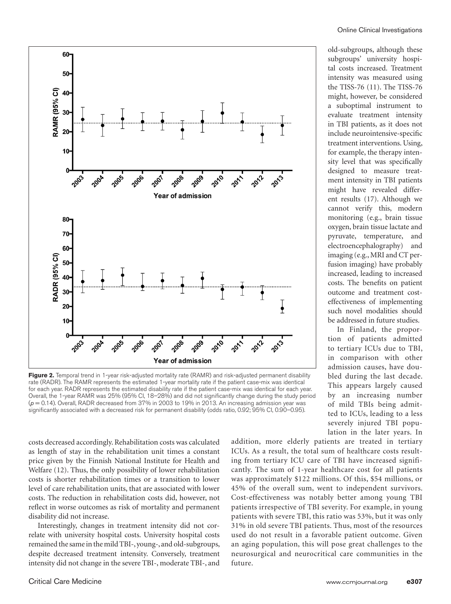

**Figure 2.** Temporal trend in 1-year risk-adjusted mortality rate (RAMR) and risk-adjusted permanent disability rate (RADR). The RAMR represents the estimated 1-year mortality rate if the patient case-mix was identical for each year. RADR represents the estimated disability rate if the patient case-mix was identical for each year. Overall, the 1-year RAMR was 25% (95% CI, 18–28%) and did not significantly change during the study period (*p* = 0.14). Overall, RADR decreased from 37% in 2003 to 19% in 2013. An increasing admission year was significantly associated with a decreased risk for permanent disability (odds ratio, 0.92; 95% CI, 0.90–0.95).

costs decreased accordingly. Rehabilitation costs was calculated as length of stay in the rehabilitation unit times a constant price given by the Finnish National Institute for Health and Welfare (12). Thus, the only possibility of lower rehabilitation costs is shorter rehabilitation times or a transition to lower level of care rehabilitation units, that are associated with lower costs. The reduction in rehabilitation costs did, however, not reflect in worse outcomes as risk of mortality and permanent disability did not increase.

Interestingly, changes in treatment intensity did not correlate with university hospital costs. University hospital costs remained the same in the mild TBI-, young-, and old-subgroups, despite decreased treatment intensity. Conversely, treatment intensity did not change in the severe TBI-, moderate TBI-, and

old-subgroups, although these subgroups' university hospital costs increased. Treatment intensity was measured using the TISS-76 (11). The TISS-76 might, however, be considered a suboptimal instrument to evaluate treatment intensity in TBI patients, as it does not include neurointensive-specific treatment interventions. Using, for example, the therapy intensity level that was specifically designed to measure treatment intensity in TBI patients might have revealed different results (17). Although we cannot verify this, modern monitoring (e.g., brain tissue oxygen, brain tissue lactate and pyruvate, temperature, and electroencephalography) and imaging (e.g., MRI and CT perfusion imaging) have probably increased, leading to increased costs. The benefits on patient outcome and treatment costeffectiveness of implementing such novel modalities should be addressed in future studies.

In Finland, the proportion of patients admitted to tertiary ICUs due to TBI, in comparison with other admission causes, have doubled during the last decade. This appears largely caused by an increasing number of mild TBIs being admitted to ICUs, leading to a less severely injured TBI population in the later years. In

addition, more elderly patients are treated in tertiary ICUs. As a result, the total sum of healthcare costs resulting from tertiary ICU care of TBI have increased significantly. The sum of 1-year healthcare cost for all patients was approximately \$122 millions. Of this, \$54 millions, or 45% of the overall sum, went to independent survivors. Cost-effectiveness was notably better among young TBI patients irrespective of TBI severity. For example, in young patients with severe TBI, this ratio was 53%, but it was only 31% in old severe TBI patients. Thus, most of the resources used do not result in a favorable patient outcome. Given an aging population, this will pose great challenges to the neurosurgical and neurocritical care communities in the future.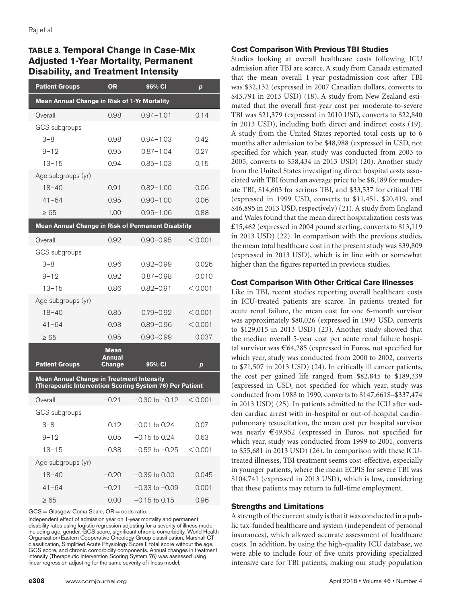# **TABLE 3. Temporal Change in Case-Mix Adjusted 1-Year Mortality, Permanent Disability, and Treatment Intensity**

| <b>Patient Groups</b>                                                                                        | <b>OR</b>             | 95% CI             | $\boldsymbol{p}$ |  |  |  |  |
|--------------------------------------------------------------------------------------------------------------|-----------------------|--------------------|------------------|--|--|--|--|
| Mean Annual Change in Risk of 1-Yr Mortality                                                                 |                       |                    |                  |  |  |  |  |
| Overall                                                                                                      | 0.98                  | $0.94 - 1.01$      | 0.14             |  |  |  |  |
| GCS subgroups                                                                                                |                       |                    |                  |  |  |  |  |
| 3–8                                                                                                          | 0.98                  | $0.94 - 1.03$      | 0.42             |  |  |  |  |
| $9 - 12$                                                                                                     | 0.95                  | $0.87 - 1.04$      | 0.27             |  |  |  |  |
| $13 - 15$                                                                                                    | 0.94                  | $0.85 - 1.03$      | 0.15             |  |  |  |  |
| Age subgroups (yr)                                                                                           |                       |                    |                  |  |  |  |  |
| $18 - 40$                                                                                                    | 0.91                  | $0.82 - 1.00$      | 0.06             |  |  |  |  |
| $41 - 64$                                                                                                    | 0.95                  | $0.90 - 1.00$      | 0.06             |  |  |  |  |
| $\geq 65$                                                                                                    | 1.00                  | $0.95 - 1.06$      | 0.88             |  |  |  |  |
| Mean Annual Change in Risk of Permanent Disability                                                           |                       |                    |                  |  |  |  |  |
| Overall                                                                                                      | 0.92                  | $0.90 - 0.95$      | < 0.001          |  |  |  |  |
| GCS subgroups                                                                                                |                       |                    |                  |  |  |  |  |
| $3 - 8$                                                                                                      | 0.96                  | $0.92 - 0.99$      | 0.026            |  |  |  |  |
| $9 - 12$                                                                                                     | 0.92                  | $0.87 - 0.98$      | 0.010            |  |  |  |  |
| $13 - 15$                                                                                                    | 0.86                  | $0.82 - 0.91$      | < 0.001          |  |  |  |  |
| Age subgroups (yr)                                                                                           |                       |                    |                  |  |  |  |  |
| $18 - 40$                                                                                                    | 0.85                  | $0.79 - 0.92$      | < 0.001          |  |  |  |  |
| $41 - 64$                                                                                                    | 0.93                  | $0.89 - 0.96$      | < 0.001          |  |  |  |  |
| $\geq 65$                                                                                                    | 0.95                  | $0.90 - 0.99$      | 0.037            |  |  |  |  |
|                                                                                                              | Mean<br><b>Annual</b> |                    |                  |  |  |  |  |
| <b>Patient Groups</b>                                                                                        | Change                | 95% CI             | p                |  |  |  |  |
| <b>Mean Annual Change in Treatment Intensity</b><br>(Therapeutic Intervention Scoring System 76) Per Patient |                       |                    |                  |  |  |  |  |
| Overall                                                                                                      | $-0.21$               | $-0.30$ to $-0.12$ | < 0.001          |  |  |  |  |
| GCS subgroups                                                                                                |                       |                    |                  |  |  |  |  |
| $3 - 8$                                                                                                      | 0.12                  | $-0.01$ to 0.24    | 0.07             |  |  |  |  |
| $9 - 12$                                                                                                     | 0.05                  | $-0.15$ to 0.24    | 0.63             |  |  |  |  |
| $13 - 15$                                                                                                    | $-0.38$               | $-0.52$ to $-0.25$ | < 0.001          |  |  |  |  |
| Age subgroups (yr)                                                                                           |                       |                    |                  |  |  |  |  |
| $18 - 40$                                                                                                    | $-0.20$               | $-0.39$ to $0.00$  | 0.045            |  |  |  |  |
| $41 - 64$                                                                                                    | $-0.21$               | $-0.33$ to $-0.09$ | 0.001            |  |  |  |  |
| $\geq 65$                                                                                                    | 0.00                  | $-0.15$ to 0.15    | 0.96             |  |  |  |  |

GCS = Glasgow Coma Scale, OR = odds ratio.

Independent effect of admission year on 1-year mortality and permanent disability rates using logistic regression adjusting for a severity of illness model including age, gender, GCS score, significant chronic comorbidity, World Health Organization/Eastern Cooperative Oncology Group classification, Marshall CT classification, Simplified Acute Physiology Score II total score without the age, GCS score, and chronic comorbidity components. Annual changes in treatment intensity (Therapeutic Intervention Scoring System 76) was assessed using linear regression adjusting for the same severity of illness model.

# **Cost Comparison With Previous TBI Studies**

Studies looking at overall healthcare costs following ICU admission after TBI are scarce. A study from Canada estimated that the mean overall 1-year postadmission cost after TBI was \$32,132 (expressed in 2007 Canadian dollars, converts to \$43,791 in 2013 USD) (18). A study from New Zealand estimated that the overall first-year cost per moderate-to-severe TBI was \$21,379 (expressed in 2010 USD, converts to \$22,840 in 2013 USD), including both direct and indirect costs (19). A study from the United States reported total costs up to 6 months after admission to be \$48,988 (expressed in USD, not specified for which year, study was conducted from 2003 to 2005, converts to \$58,434 in 2013 USD) (20). Another study from the United States investigating direct hospital costs associated with TBI found an average price to be \$8,189 for moderate TBI, \$14,603 for serious TBI, and \$33,537 for critical TBI (expressed in 1999 USD, converts to \$11,451, \$20,419, and \$46,895 in 2013 USD, respectively) (21). A study from England and Wales found that the mean direct hospitalization costs was £15,462 (expressed in 2004 pound sterling, converts to \$13,119 in 2013 USD) (22). In comparison with the previous studies, the mean total healthcare cost in the present study was \$39,809 (expressed in 2013 USD), which is in line with or somewhat higher than the figures reported in previous studies.

# **Cost Comparison With Other Critical Care Illnesses**

Like in TBI, recent studies reporting overall healthcare costs in ICU-treated patients are scarce. In patients treated for acute renal failure, the mean cost for one 6-month survivor was approximately \$80,026 (expressed in 1993 USD, converts to \$129,015 in 2013 USD) (23). Another study showed that the median overall 5-year cost per acute renal failure hospital survivor was €64,285 (expressed in Euros, not specified for which year, study was conducted from 2000 to 2002, converts to \$71,507 in 2013 USD) (24). In critically ill cancer patients, the cost per gained life ranged from \$82,845 to \$189,339 (expressed in USD, not specified for which year, study was conducted from 1988 to 1990, converts to \$147,661\$–\$337,474 in 2013 USD) (25). In patients admitted to the ICU after sudden cardiac arrest with in-hospital or out-of-hospital cardiopulmonary resuscitation, the mean cost per hospital survivor was nearly €49,952 (expressed in Euros, not specified for which year, study was conducted from 1999 to 2001, converts to \$55,681 in 2013 USD) (26). In comparison with these ICUtreated illnesses, TBI treatment seems cost-effective, especially in younger patients, where the mean ECPIS for severe TBI was \$104,741 (expressed in 2013 USD), which is low, considering that these patients may return to full-time employment.

#### **Strengths and Limitations**

A strength of the current study is that it was conducted in a public tax-funded healthcare and system (independent of personal insurances), which allowed accurate assessment of healthcare costs. In addition, by using the high-quality ICU database, we were able to include four of five units providing specialized intensive care for TBI patients, making our study population